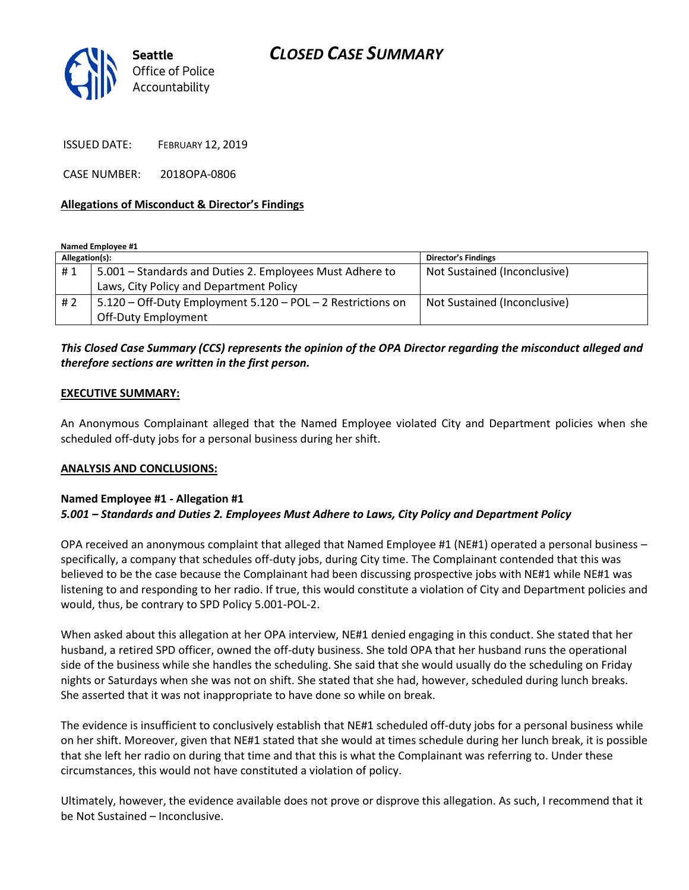

ISSUED DATE: FEBRUARY 12, 2019

CASE NUMBER: 2018OPA-0806

### **Allegations of Misconduct & Director's Findings**

**Named Employee #1**

| Allegation(s): |                                                             | <b>Director's Findings</b>   |
|----------------|-------------------------------------------------------------|------------------------------|
| #1             | 5.001 - Standards and Duties 2. Employees Must Adhere to    | Not Sustained (Inconclusive) |
|                | Laws, City Policy and Department Policy                     |                              |
| #2             | 5.120 - Off-Duty Employment 5.120 - POL - 2 Restrictions on | Not Sustained (Inconclusive) |
|                | Off-Duty Employment                                         |                              |

## *This Closed Case Summary (CCS) represents the opinion of the OPA Director regarding the misconduct alleged and therefore sections are written in the first person.*

#### **EXECUTIVE SUMMARY:**

An Anonymous Complainant alleged that the Named Employee violated City and Department policies when she scheduled off-duty jobs for a personal business during her shift.

### **ANALYSIS AND CONCLUSIONS:**

### **Named Employee #1 - Allegation #1**

### *5.001 – Standards and Duties 2. Employees Must Adhere to Laws, City Policy and Department Policy*

OPA received an anonymous complaint that alleged that Named Employee #1 (NE#1) operated a personal business – specifically, a company that schedules off-duty jobs, during City time. The Complainant contended that this was believed to be the case because the Complainant had been discussing prospective jobs with NE#1 while NE#1 was listening to and responding to her radio. If true, this would constitute a violation of City and Department policies and would, thus, be contrary to SPD Policy 5.001-POL-2.

When asked about this allegation at her OPA interview, NE#1 denied engaging in this conduct. She stated that her husband, a retired SPD officer, owned the off-duty business. She told OPA that her husband runs the operational side of the business while she handles the scheduling. She said that she would usually do the scheduling on Friday nights or Saturdays when she was not on shift. She stated that she had, however, scheduled during lunch breaks. She asserted that it was not inappropriate to have done so while on break.

The evidence is insufficient to conclusively establish that NE#1 scheduled off-duty jobs for a personal business while on her shift. Moreover, given that NE#1 stated that she would at times schedule during her lunch break, it is possible that she left her radio on during that time and that this is what the Complainant was referring to. Under these circumstances, this would not have constituted a violation of policy.

Ultimately, however, the evidence available does not prove or disprove this allegation. As such, I recommend that it be Not Sustained – Inconclusive.